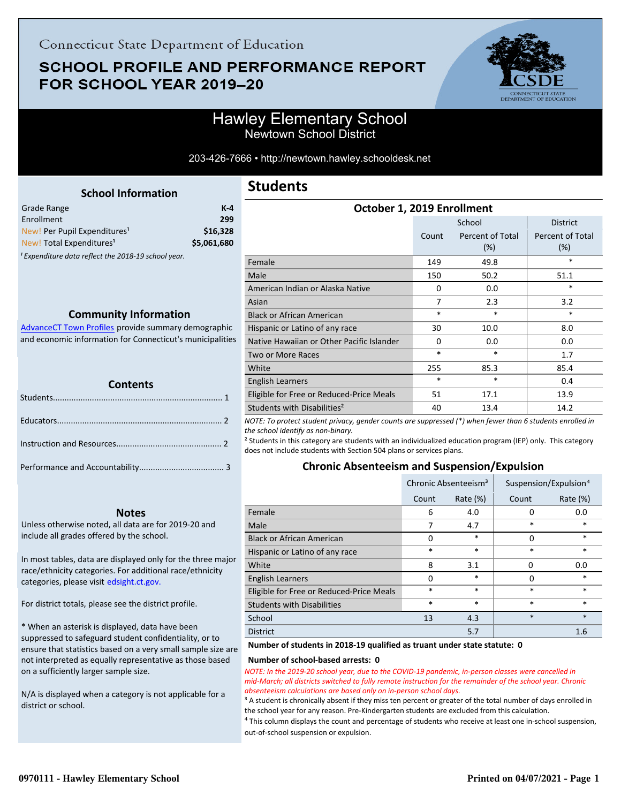# **SCHOOL PROFILE AND PERFORMANCE REPORT** FOR SCHOOL YEAR 2019-20



## Hawley Elementary School Newtown School District

203-426-7666 • http://newtown.hawley.schooldesk.net

<span id="page-0-0"></span>

| <b>School Information</b>                |             |
|------------------------------------------|-------------|
| Grade Range                              | $K-4$       |
| Enrollment                               | 299         |
| New! Per Pupil Expenditures <sup>1</sup> | \$16.328    |
| New! Total Expenditures <sup>1</sup>     | \$5,061,680 |

<sup>1</sup> Expenditure data reflect the 2018-19 school year.

#### **Community Information**

AdvanceCT Town Profiles provide summary demographic  [and economic information for Connecticut's municipalities](http://www.cerc.com/townprofiles/)

| <b>Contents</b> |  |  |  |
|-----------------|--|--|--|
|                 |  |  |  |
|                 |  |  |  |
|                 |  |  |  |
|                 |  |  |  |

#### **Notes**

Unless otherwise noted, all data are for 2019-20 and include all grades offered by the school.

[In most tables, data are displayed only for the three major](http://edsight.ct.gov/) race/ethnicity categories. For additional race/ethnicity categories, please visit edsight.ct.gov.

For district totals, please see the district profile.

\* When an asterisk is displayed, data have been suppressed to safeguard student confidentiality, or to ensure that statistics based on a very small sample size are not interpreted as equally representative as those based on a sufficiently larger sample size.

N/A is displayed when a category is not applicable for a district or school.

## **Students**

| October 1, 2019 Enrollment                |          |                         |                         |  |  |
|-------------------------------------------|----------|-------------------------|-------------------------|--|--|
|                                           |          | School                  | <b>District</b>         |  |  |
|                                           | Count    | Percent of Total<br>(%) | Percent of Total<br>(%) |  |  |
| Female                                    | 149      | 49.8                    | *                       |  |  |
| Male                                      | 150      | 50.2                    | 51.1                    |  |  |
| American Indian or Alaska Native          | 0        | 0.0                     | $\ast$                  |  |  |
| Asian                                     | 7        | 2.3                     | 3.2                     |  |  |
| <b>Black or African American</b>          | $\ast$   | *                       | *                       |  |  |
| Hispanic or Latino of any race            | 30       | 10.0                    | 8.0                     |  |  |
| Native Hawaiian or Other Pacific Islander | $\Omega$ | 0.0                     | 0.0                     |  |  |
| <b>Two or More Races</b>                  | $\ast$   | *                       | 1.7                     |  |  |
| White                                     | 255      | 85.3                    | 85.4                    |  |  |
| English Learners                          | $\ast$   | *                       | 0.4                     |  |  |
| Eligible for Free or Reduced-Price Meals  | 51       | 17.1                    | 13.9                    |  |  |
| Students with Disabilities <sup>2</sup>   | 40       | 13.4                    | 14.2                    |  |  |

*NOTE: To protect student privacy, gender counts are suppressed (\*) when fewer than 6 students enrolled in the school identify as non-binary.*

² Students in this category are students with an individualized education program (IEP) only. This category does not include students with Section 504 plans or services plans.

### **Chronic Absenteeism and Suspension/Expulsion**

|                                          | Chronic Absenteeism <sup>3</sup> |             | Suspension/Expulsion <sup>4</sup> |             |
|------------------------------------------|----------------------------------|-------------|-----------------------------------|-------------|
|                                          | Count                            | Rate $(\%)$ | Count                             | Rate $(\%)$ |
| Female                                   | 6                                | 4.0         | 0                                 | 0.0         |
| Male                                     | 7                                | 4.7         | *                                 | *           |
| <b>Black or African American</b>         | 0                                | $\ast$      | 0                                 | $\ast$      |
| Hispanic or Latino of any race           | *                                | $\ast$      | $\ast$                            | $\ast$      |
| White                                    | 8                                | 3.1         | 0                                 | 0.0         |
| <b>English Learners</b>                  | O                                | $\ast$      | 0                                 | *           |
| Eligible for Free or Reduced-Price Meals | *                                | $\ast$      | $\ast$                            | $\ast$      |
| <b>Students with Disabilities</b>        | *                                | $\ast$      | $\ast$                            | $\ast$      |
| School                                   | 13                               | 4.3         | $\ast$                            | $\ast$      |
| <b>District</b>                          |                                  | 5.7         |                                   | 1.6         |

#### **Number of students in 2018-19 qualified as truant under state statute: 0**

#### **Number of school-based arrests: 0**

*NOTE: In the 2019-20 school year, due to the COVID-19 pandemic, in-person classes were cancelled in mid-March; all districts switched to fully remote instruction for the remainder of the school year. Chronic absenteeism calculations are based only on in-person school days.*

<sup>3</sup> A student is chronically absent if they miss ten percent or greater of the total number of days enrolled in the school year for any reason. Pre-Kindergarten students are excluded from this calculation.

 $4$  This column displays the count and percentage of students who receive at least one in-school suspension, out-of-school suspension or expulsion.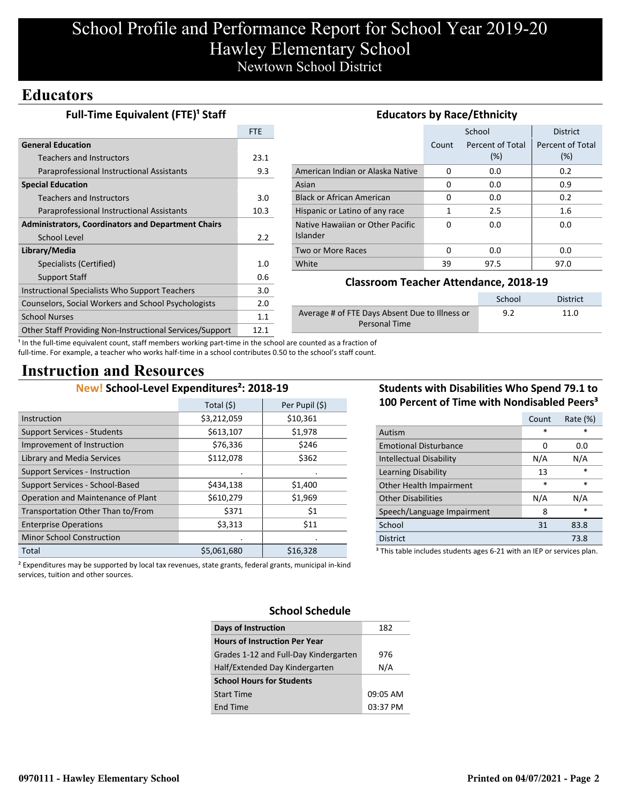# School Profile and Performance Report for School Year 2019-20 Hawley Elementary School Newtown School District

## **Educators**

| <b>Full-Time Equivalent (FTE)<sup>1</sup> Staff</b>       | <b>Educators by Race/Ethnicity</b> |                                                       |                                              |                  |                  |
|-----------------------------------------------------------|------------------------------------|-------------------------------------------------------|----------------------------------------------|------------------|------------------|
|                                                           | <b>FTE</b>                         |                                                       |                                              | School           | <b>District</b>  |
| <b>General Education</b>                                  |                                    |                                                       | Count                                        | Percent of Total | Percent of Total |
| <b>Teachers and Instructors</b>                           | 23.1                               |                                                       |                                              | (%)              | $(\%)$           |
| Paraprofessional Instructional Assistants                 | 9.3                                | American Indian or Alaska Native                      | $\Omega$                                     | 0.0              | 0.2              |
| <b>Special Education</b>                                  |                                    | Asian                                                 | 0                                            | 0.0              | 0.9              |
| <b>Teachers and Instructors</b>                           | 3.0                                | <b>Black or African American</b>                      | 0                                            | 0.0              | 0.2              |
| Paraprofessional Instructional Assistants                 | 10.3                               | Hispanic or Latino of any race                        | $\mathbf{1}$                                 | 2.5              | $1.6\,$          |
| <b>Administrators, Coordinators and Department Chairs</b> |                                    | Native Hawaiian or Other Pacific                      | $\Omega$                                     | 0.0              | 0.0              |
| <b>School Level</b>                                       | 2.2                                | <b>Islander</b>                                       |                                              |                  |                  |
| Library/Media                                             |                                    | Two or More Races                                     | 0                                            | 0.0              | 0.0              |
| Specialists (Certified)                                   | 1.0                                | White                                                 | 39                                           | 97.5             | 97.0             |
| Support Staff                                             | 0.6                                |                                                       |                                              |                  |                  |
| Instructional Specialists Who Support Teachers            | 3.0                                |                                                       | <b>Classroom Teacher Attendance, 2018-19</b> |                  |                  |
| Counselors, Social Workers and School Psychologists       | 2.0                                |                                                       |                                              | School           | <b>District</b>  |
| <b>School Nurses</b>                                      | 1.1                                | Average # of FTE Days Absent Due to Illness or<br>9.2 |                                              | 11.0             |                  |
| Other Staff Providing Non-Instructional Services/Support  | 12.1                               | <b>Personal Time</b>                                  |                                              |                  |                  |

<sup>1</sup> In the full-time equivalent count, staff members working part-time in the school are counted as a fraction of full-time. For example, a teacher who works half-time in a school contributes 0.50 to the school's staff count.

# **Instruction and Resources**

### **New! School-Level Expenditures²: 2018-19**

|                                       | Total (\$)  | Per Pupil (\$) |
|---------------------------------------|-------------|----------------|
| Instruction                           | \$3,212,059 | \$10,361       |
| <b>Support Services - Students</b>    | \$613,107   | \$1,978        |
| Improvement of Instruction            | \$76,336    | \$246          |
| Library and Media Services            | \$112,078   | \$362          |
| <b>Support Services - Instruction</b> |             | ٠              |
| Support Services - School-Based       | \$434,138   | \$1,400        |
| Operation and Maintenance of Plant    | \$610,279   | \$1,969        |
| Transportation Other Than to/From     | \$371       | \$1            |
| <b>Enterprise Operations</b>          | \$3,313     | \$11           |
| <b>Minor School Construction</b>      |             |                |
| Total                                 | \$5,061,680 | \$16,328       |

### **Students with Disabilities Who Spend 79.1 to 100 Percent of Time with Nondisabled Peers³**

|                                                                                   | Count  | Rate (%) |  |  |
|-----------------------------------------------------------------------------------|--------|----------|--|--|
| Autism                                                                            | *      | *        |  |  |
| <b>Emotional Disturbance</b>                                                      | 0      | 0.0      |  |  |
| <b>Intellectual Disability</b>                                                    | N/A    | N/A      |  |  |
| Learning Disability                                                               | 13     | $\ast$   |  |  |
| Other Health Impairment                                                           | $\ast$ | $\ast$   |  |  |
| <b>Other Disabilities</b>                                                         | N/A    | N/A      |  |  |
| Speech/Language Impairment                                                        | 8      | $\ast$   |  |  |
| School                                                                            | 31     | 83.8     |  |  |
| <b>District</b>                                                                   |        | 73.8     |  |  |
| <sup>3</sup> This table includes students ages 6-21 with an IEP or services plan. |        |          |  |  |

² Expenditures may be supported by local tax revenues, state grants, federal grants, municipal in-kind services, tuition and other sources.

# **School Schedule**

| Days of Instruction                   | 182      |
|---------------------------------------|----------|
| <b>Hours of Instruction Per Year</b>  |          |
| Grades 1-12 and Full-Day Kindergarten | 976      |
| Half/Extended Day Kindergarten        | N/A      |
| <b>School Hours for Students</b>      |          |
| <b>Start Time</b>                     | 09:05 AM |
| <b>End Time</b>                       | 03:37 PM |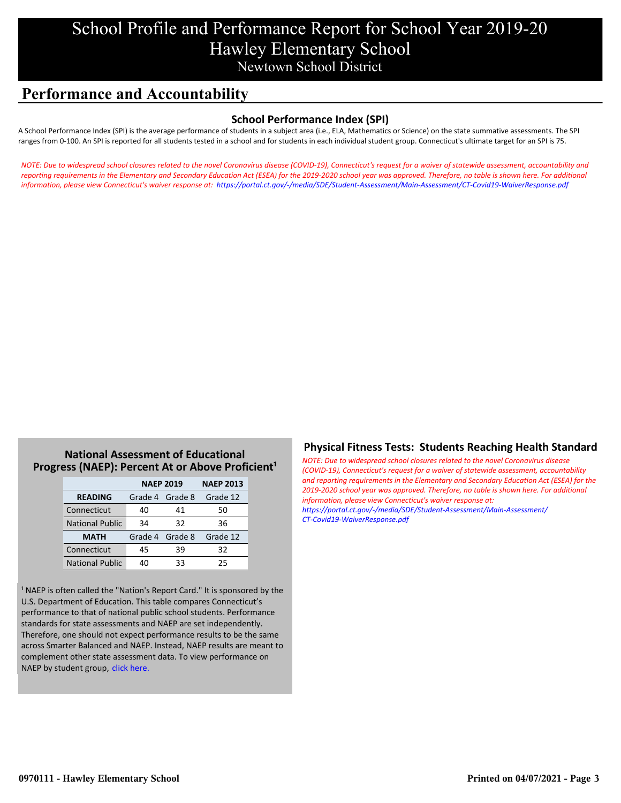# School Profile and Performance Report for School Year 2019-20 Hawley Elementary School Newtown School District

# **Performance and Accountability**

### **School Performance Index (SPI)**

A School Performance Index (SPI) is the average performance of students in a subject area (i.e., ELA, Mathematics or Science) on the state summative assessments. The SPI ranges from 0-100. An SPI is reported for all students tested in a school and for students in each individual student group. Connecticut's ultimate target for an SPI is 75.

*[NOTE: Due to widespread school closures related to the novel Coronavirus disease \(COVID-19\), Connecticut's request for a waiver of statewide assessment, accountability and](https://portal.ct.gov/-/media/SDE/Student-Assessment/Main-Assessment/CT-Covid19-WaiverResponse.pdf) reporting requirements in the Elementary and Secondary Education Act (ESEA) for the 2019-2020 school year was approved. Therefore, no table is shown here. For additional information, please view Connecticut's waiver response at: https://portal.ct.gov/-/media/SDE/Student-Assessment/Main-Assessment/CT-Covid19-WaiverResponse.pdf*

### **National Assessment of Educational Progress (NAEP): Percent At or Above Proficient<sup>1</sup>**

|                        | <b>NAEP 2019</b> | <b>NAEP 2013</b> |          |
|------------------------|------------------|------------------|----------|
| <b>READING</b>         | Grade 4 Grade 8  |                  | Grade 12 |
| Connecticut            | 40               | 41               | 50       |
| <b>National Public</b> | 34               | 32               | 36       |
| <b>MATH</b>            | Grade 4 Grade 8  |                  | Grade 12 |
| Connecticut            | 45               | 39               | 32       |
| <b>National Public</b> | 40               | 33               | 25       |

<sup>1</sup> NAEP is often called the "Nation's Report Card." It is sponsored by the U.S. Department of Education. This table compares Connecticut's performance to that of national public school students. Performance standards for state assessments and NAEP are set independently. Therefore, one should not expect performance results to be the same across Smarter Balanced and NAEP. Instead, NAEP results are meant to complement other state assessment data. To view performance on NAEP by student group, click here.

### **Physical Fitness Tests: Students Reaching Health Standard**

*NOTE: Due to widespread school closures related to the novel Coronavirus disease (COVID-19), Connecticut's request for a waiver of statewide assessment, accountability [and reporting requirements in the Elementary and Secondary Education Act \(ESEA\) for the](https://portal.ct.gov/-/media/SDE/Student-Assessment/Main-Assessment/CT-Covid19-WaiverResponse.pdf) 2019-2020 school year was approved. Therefore, no table is shown here. For additional information, please view Connecticut's waiver response at: https://portal.ct.gov/-/media/SDE/Student-Assessment/Main-Assessment/ CT-Covid19-WaiverResponse.pdf*